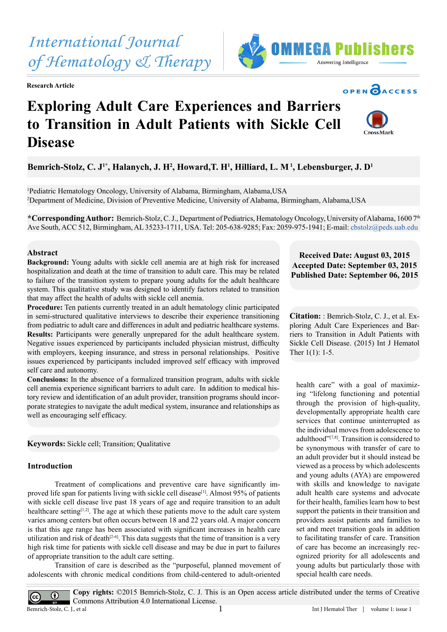**Abstract Background:** Young adults with sickle cell anemia are at high risk for increased

hospitalization and death at the time of transition to adult care. This may be related to failure of the transition system to prepare young adults for the adult healthcare system. This qualitative study was designed to identify factors related to transition that may affect the health of adults with sickle cell anemia. **Procedure:** Ten patients currently treated in an adult hematology clinic participated

in semi-structured qualitative interviews to describe their experience transitioning from pediatric to adult care and differences in adult and pediatric healthcare systems. **Results:** Participants were generally unprepared for the adult healthcare system. Negative issues experienced by participants included physician mistrust, difficulty with employers, keeping insurance, and stress in personal relationships. Positive issues experienced by participants included improved self efficacy with improved self care and autonomy.

**Conclusions:** In the absence of a formalized transition program, adults with sickle cell anemia experience significant barriers to adult care. In addition to medical history review and identification of an adult provider, transition programs should incorporate strategies to navigate the adult medical system, insurance and relationships as well as encouraging self efficacy.

**Keywords:** Sickle cell; Transition; Qualitative

#### **Introduction**

 $\odot$ 

 $\sqrt{cc}$ 

**Disease**

Treatment of complications and preventive care have significantly improved life span for patients living with sickle cell disease<sup>[1]</sup>. Almost 95% of patients with sickle cell disease live past 18 years of age and require transition to an adult healthcare setting<sup>[1,2]</sup>. The age at which these patients move to the adult care system varies among centers but often occurs between 18 and 22 years old. A major concern is that this age range has been associated with significant increases in health care utilization and risk of death $[2-6]$ . This data suggests that the time of transition is a very high risk time for patients with sickle cell disease and may be due in part to failures of appropriate transition to the adult care setting.

Transition of care is described as the "purposeful, planned movement of adolescents with chronic medical conditions from child-centered to adult-oriented

**Copy rights:** ©2015 Bemrich-Stolz, C. J. This is an Open access article distributed under the terms of Creative Commons Attribution 4.0 International License.<br>Bemrich-Stolz, C. I., et al.

# **Published Date: September 06, 2015**

**Citation:** : Bemrich-Stolz, C. J., et al. Exploring Adult Care Experiences and Barriers to Transition in Adult Patients with Sickle Cell Disease. (2015) Int J Hematol Ther 1(1): 1-5.

**Received Date: August 03, 2015 Accepted Date: September 03, 2015**

health care" with a goal of maximizing "lifelong functioning and potential through the provision of high-quality, developmentally appropriate health care services that continue uninterrupted as the individual moves from adolescence to adulthood["\[7,8\]](#page-4-2). Transition is considered to be synonymous with transfer of care to an adult provider but it should instead be viewed as a process by which adolescents and young adults (AYA) are empowered with skills and knowledge to navigate adult health care systems and advocate for their health, families learn how to best support the patients in their transition and providers assist patients and families to set and meet transition goals in addition to facilitating transfer of care. Transition of care has become an increasingly recognized priority for all adolescents and young adults but particularly those with special health care needs.

### Bemrich-Stolz, C. J<sup>1</sup>\*, Halanych, J. H<sup>2</sup>, Howard,T. H<sup>1</sup>, Hilliard, L. M<sup>1</sup>, Lebensburger, J. D<sup>1</sup>

1 Pediatric Hematology Oncology, University of Alabama, Birmingham, Alabama,USA 2 Department of Medicine, Division of Preventive Medicine, University of Alabama, Birmingham, Alabama,USA

**to Transition in Adult Patients with Sickle Cell** 

**\*Corresponding Author:** Bemrich-Stolz, C. J., Department of Pediatrics, Hematology Oncology, University of Alabama, 1600 7th Ave South, ACC 512, Birmingham, AL 35233-1711, USA. Tel: 205-638-9285; Fax: 2059-975-1941; E-mail: cbstolz@peds.uab.edu

## *of Hematology & Therapy* **Research Article Exploring Adult Care Experiences and Barriers**

*International Journal* 





**OPEN CACCESS** 

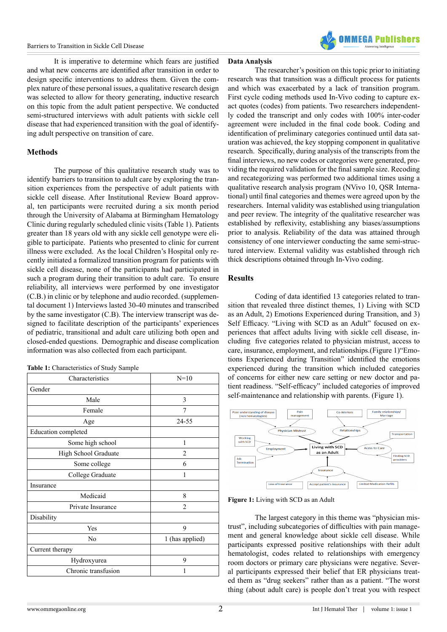

It is imperative to determine which fears are justified and what new concerns are identified after transition in order to design specific interventions to address them. Given the complex nature of these personal issues, a qualitative research design was selected to allow for theory generating, inductive research on this topic from the adult patient perspective. We conducted semi-structured interviews with adult patients with sickle cell disease that had experienced transition with the goal of identifying adult perspective on transition of care.

#### **Methods**

The purpose of this qualitative research study was to identify barriers to transition to adult care by exploring the transition experiences from the perspective of adult patients with sickle cell disease. After Institutional Review Board approval, ten participants were recruited during a six month period through the University of Alabama at Birmingham Hematology Clinic during regularly scheduled clinic visits (Table 1). Patients greater than 18 years old with any sickle cell genotype were eligible to participate. Patients who presented to clinic for current illness were excluded. As the local Children's Hospital only recently initiated a formalized transition program for patients with sickle cell disease, none of the participants had participated in such a program during their transition to adult care. To ensure reliability, all interviews were performed by one investigator (C.B.) in clinic or by telephone and audio recorded. (supplemental document 1) Interviews lasted 30-40 minutes and transcribed by the same investigator (C.B). The interview transcript was designed to facilitate description of the participants' experiences of pediatric, transitional and adult care utilizing both open and closed-ended questions. Demographic and disease complication information was also collected from each participant.

| Table 1: Characteristics of Study Sample |  |
|------------------------------------------|--|
|------------------------------------------|--|

| Characteristics      | $N=10$          |
|----------------------|-----------------|
| Gender               |                 |
| Male                 | 3               |
| Female               | 7               |
| Age                  | 24-55           |
| Education completed  |                 |
| Some high school     | 1               |
| High School Graduate | $\overline{2}$  |
| Some college         | 6               |
| College Graduate     | 1               |
| Insurance            |                 |
| Medicaid             | 8               |
| Private Insurance    | $\mathfrak{D}$  |
| Disability           |                 |
| Yes                  | 9               |
| N <sub>0</sub>       | 1 (has applied) |
| Current therapy      |                 |
| Hydroxyurea          | 9               |
| Chronic transfusion  | 1               |

#### **Data Analysis**

The researcher's position on this topic prior to initiating research was that transition was a difficult process for patients and which was exacerbated by a lack of transition program. First cycle coding methods used In-Vivo coding to capture exact quotes (codes) from patients. Two researchers independently coded the transcript and only codes with 100% inter-coder agreement were included in the final code book. Coding and identification of preliminary categories continued until data saturation was achieved, the key stopping component in qualitative research. Specifically, during analysis of the transcripts from the final interviews, no new codes or categories were generated, providing the required validation for the final sample size. Recoding and recategorizing was performed two additional times using a qualitative research analysis program (NVivo 10, QSR International) until final categories and themes were agreed upon by the researchers. Internal validity was established using triangulation and peer review. The integrity of the qualitative researcher was established by reflexivity, establishing any biases/assumptions prior to analysis. Reliability of the data was attained through consistency of one interviewer conducting the same semi-structured interview. External validity was established through rich thick descriptions obtained through In-Vivo coding.

#### **Results**

Coding of data identified 13 categories related to transition that revealed three distinct themes, 1) Living with SCD as an Adult, 2) Emotions Experienced during Transition, and 3) Self Efficacy. "Living with SCD as an Adult" focused on experiences that affect adults living with sickle cell disease, including five categories related to physician mistrust, access to care, insurance, employment, and relationships.(Figure 1)"Emotions Experienced during Transition" identified the emotions experienced during the transition which included categories of concerns for either new care setting or new doctor and patient readiness. "Self-efficacy" included categories of improved self-maintenance and relationship with parents. (Figure 1).



**Figure 1:** Living with SCD as an Adult

The largest category in this theme was "physician mistrust", including subcategories of difficulties with pain management and general knowledge about sickle cell disease. While participants expressed positive relationships with their adult hematologist, codes related to relationships with emergency room doctors or primary care physicians were negative. Several participants expressed their belief that ER physicians treated them as "drug seekers" rather than as a patient. "The worst thing (about adult care) is people don't treat you with respect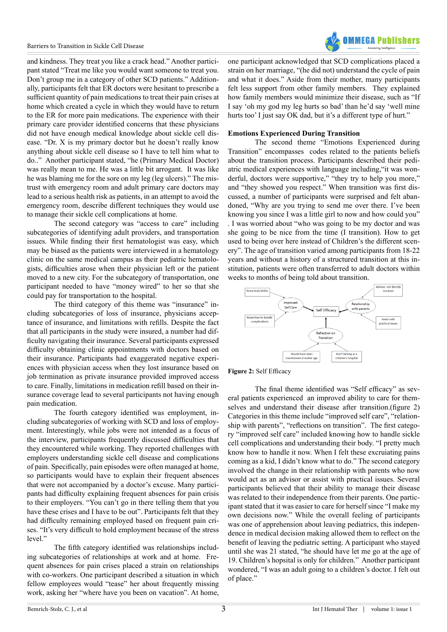

and kindness. They treat you like a crack head." Another participant stated "Treat me like you would want someone to treat you. Don't group me in a category of other SCD patients." Additionally, participants felt that ER doctors were hesitant to prescribe a sufficient quantity of pain medications to treat their pain crises at home which created a cycle in which they would have to return to the ER for more pain medications. The experience with their primary care provider identified concerns that these physicians did not have enough medical knowledge about sickle cell disease. "Dr. X is my primary doctor but he doesn't really know anything about sickle cell disease so I have to tell him what to do.." Another participant stated, "he (Primary Medical Doctor) was really mean to me. He was a little bit arrogant. It was like he was blaming me for the sore on my leg (leg ulcers)." The mistrust with emergency room and adult primary care doctors may lead to a serious health risk as patients, in an attempt to avoid the emergency room, describe different techniques they would use to manage their sickle cell complications at home.

The second category was "access to care" including subcategories of identifying adult providers, and transportation issues. While finding their first hematologist was easy, which may be biased as the patients were interviewed in a hematology clinic on the same medical campus as their pediatric hematologists, difficulties arose when their physician left or the patient moved to a new city. For the subcategory of transportation, one participant needed to have "money wired" to her so that she could pay for transportation to the hospital.

The third category of this theme was "insurance" including subcategories of loss of insurance, physicians acceptance of insurance, and limitations with refills. Despite the fact that all participants in the study were insured, a number had difficulty navigating their insurance. Several participants expressed difficulty obtaining clinic appointments with doctors based on their insurance. Participants had exaggerated negative experiences with physician access when they lost insurance based on job termination as private insurance provided improved access to care. Finally, limitations in medication refill based on their insurance coverage lead to several participants not having enough pain medication.

The fourth category identified was employment, including subcategories of working with SCD and loss of employment. Interestingly, while jobs were not intended as a focus of the interview, participants frequently discussed difficulties that they encountered while working. They reported challenges with employers understanding sickle cell disease and complications of pain. Specifically, pain episodes were often managed at home, so participants would have to explain their frequent absences that were not accompanied by a doctor's excuse. Many participants had difficulty explaining frequent absences for pain crisis to their employers. "You can't go in there telling them that you have these crises and I have to be out". Participants felt that they had difficulty remaining employed based on frequent pain crises. "It's very difficult to hold employment because of the stress level."

The fifth category identified was relationships including subcategories of relationships at work and at home. Frequent absences for pain crises placed a strain on relationships with co-workers. One participant described a situation in which fellow employees would "tease" her about frequently missing work, asking her "where have you been on vacation". At home,

one participant acknowledged that SCD complications placed a strain on her marriage, "(he did not) understand the cycle of pain and what it does." Aside from their mother, many participants felt less support from other family members. They explained how family members would minimize their disease, such as "If I say 'oh my god my leg hurts so bad' than he'd say 'well mine hurts too' I just say OK dad, but it's a different type of hurt."

#### **Emotions Experienced During Transition**

The second theme "Emotions Experienced during Transition" encompasses codes related to the patients beliefs about the transition process. Participants described their pediatric medical experiences with language including,"it was wonderful, doctors were supportive," "they try to help you more," and "they showed you respect." When transition was first discussed, a number of participants were surprised and felt abandoned, "Why are you trying to send me over there. I've been knowing you since I was a little girl to now and how could you" . I was worried about "who was going to be my doctor and was she going to be nice from the time (I transition). How to get used to being over here instead of Children's the different scenery". The age of transition varied among participants from 18-22 years and without a history of a structured transition at this institution, patients were often transferred to adult doctors within weeks to months of being told about transition.





The final theme identified was "Self efficacy" as several patients experienced an improved ability to care for themselves and understand their disease after transition.(figure 2) Categories in this theme include "improved self care", "relationship with parents", "reflections on transition". The first category "improved self care" included knowing how to handle sickle cell complications and understanding their body. "I pretty much know how to handle it now. When I felt these excruiating pains coming as a kid, I didn't know what to do." The second category involved the change in their relationship with parents who now would act as an advisor or assist with practical issues. Several participants believed that their ability to manage their disease was related to their independence from their parents. One participant stated that it was easier to care for herself since "I make my own decisions now." While the overall feeling of participants was one of apprehension about leaving pediatrics, this independence in medical decision making allowed them to reflect on the benefit of leaving the pediatric setting. A participant who stayed until she was 21 stated, "he should have let me go at the age of 19. Children's hopsital is only for children." Another participant wondered, "I was an adult going to a children's doctor. I felt out of place."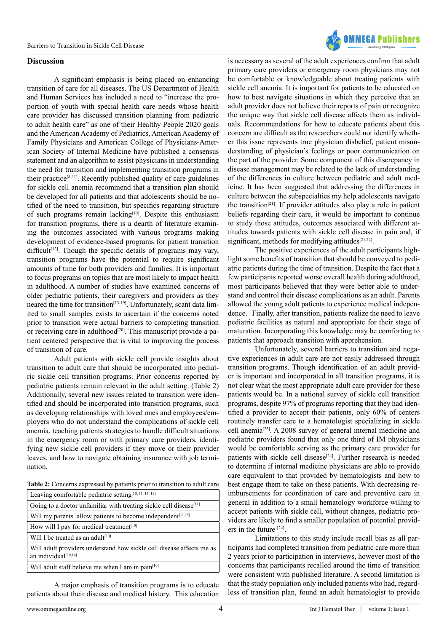

#### **Discussion**

A significant emphasis is being placed on enhancing transition of care for all diseases. The US Department of Health and Human Services has included a need to "increase the proportion of youth with special health care needs whose health care provider has discussed transition planning from pediatric to adult health care" as one of their Healthy People 2020 goals and the American Academy of Pediatrics, American Academy of Family Physicians and American College of Physicians-American Society of Internal Medicine have published a consensus statement and an algorithm to assist physicians in understanding the need for transition and implementing transition programs in their practice<sup>[\[8-11\]](#page-4-3)</sup>. Recently published quality of care guidelines for sickle cell anemia recommend that a transition plan should be developed for all patients and that adolescents should be notified of the need to transition, but specifics regarding structure of such programs remain lacking<sup>[10]</sup>. Despite this enthusiasm for transition programs, there is a dearth of literature examining the outcomes associated with various programs making development of evidence-based programs for patient transition difficult<sup>[\[12\]](#page-4-5)</sup>. Though the specific details of programs may vary, transition programs have the potential to require significant amounts of time for both providers and families. It is important to focus programs on topics that are most likely to impact health in adulthood. A number of studies have examined concerns of older pediatric patients, their caregivers and providers as they neared the time for transition<sup>[\[13-19\]](#page-4-6)</sup>. Unfortunately, scant data limited to small samples exists to ascertain if the concerns noted prior to transition were actual barriers to completing transition or receiving care in adulthood<sup>[20]</sup>. This manuscript provide a patient centered perspective that is vital to improving the process of transition of care.

Adult patients with sickle cell provide insights about transition to adult care that should be incorporated into pediatric sickle cell transition programs. Prior concerns reported by pediatric patients remain relevant in the adult setting. (Table 2) Additionally, several new issues related to transition were identified and should be incorporated into transition programs, such as developing relationships with loved ones and employees/employers who do not understand the complications of sickle cell anemia, teaching patients strategies to handle difficult situations in the emergency room or with primary care providers, identifying new sickle cell providers if they move or their provider leaves, and how to navigate obtaining insurance with job termination.

**Table 2:** Concerns expressed by patients prior to transition to adult care

| Leaving comfortable pediatric setting <sup>[10, 11, 14, 15]</sup>                             |
|-----------------------------------------------------------------------------------------------|
| Going to a doctor unfamiliar with treating sickle cell disease <sup>[11]</sup>                |
| Will my parents allow patients to become independent <sup>[11,15]</sup>                       |
| How will I pay for medical treatment <sup>[10]</sup>                                          |
| Will I be treated as an adult <sup>[10]</sup>                                                 |
| Will adult providers understand how sickle cell disease affects me as<br>an individual[10,14] |
| Will adult staff believe me when I am in pain <sup>[10]</sup>                                 |

A major emphasis of transition programs is to educate patients about their disease and medical history. This education

is necessary as several of the adult experiences confirm that adult primary care providers or emergency room physicians may not be comfortable or knowledgeable about treating patients with sickle cell anemia. It is important for patients to be educated on how to best navigate situations in which they perceive that an adult provider does not believe their reports of pain or recognize the unique way that sickle cell disease affects them as individuals. Recommendations for how to educate patients about this concern are difficult as the researchers could not identify whether this issue represents true physician disbelief, patient misunderstanding of physician's feelings or poor communication on the part of the provider. Some component of this discrepancy in disease management may be related to the lack of understanding of the differences in culture between pediatric and adult medicine. It has been suggested that addressing the differences in culture between the subspecialties my help adolescents navigate the transition<sup>[\[21\]](#page-4-8)</sup>. If provider attitudes also play a role in patient beliefs regarding their care, it would be important to continue to study those attitudes, outcomes associated with different attitudes towards patients with sickle cell disease in pain and, if significant, methods for modifying attitudes<sup>[21,22]</sup>.

The positive experiences of the adult participants highlight some benefits of transition that should be conveyed to pediatric patients during the time of transition. Despite the fact that a few participants reported worse overall health during adulthood, most participants believed that they were better able to understand and control their disease complications as an adult. Parents allowed the young adult patients to experience medical independence. Finally, after transition, patients realize the need to leave pediatric facilities as natural and appropriate for their stage of maturation. Incorporating this knowledge may be comforting to patients that approach transition with apprehension.

Unfortunately, several barriers to transition and negative experiences in adult care are not easily addressed through transition programs. Though identification of an adult provider is important and incorporated in all transition programs, it is not clear what the most appropriate adult care provider for these patients would be. In a national survey of sickle cell transition programs, despite 97% of programs reporting that they had identified a provider to accept their patients, only 60% of centers routinely transfer care to a hematologist specializing in sickle cell anemi[a\[23\].](#page-4-9) A 2008 survey of general internal medicine and pediatric providers found that only one third of IM physicians would be comfortable serving as the primary care provider for patients with sickle cell disease<sup>[24]</sup>. Further research is needed to determine if internal medicine physicians are able to provide care equivalent to that provided by hematologists and how to best engage them to take on these patients. With decreasing reimbursements for coordination of care and preventive care in general in addition to a small hematology workforce willing to accept patients with sickle cell, without changes, pediatric providers are likely to find a smaller population of potential providers in the future [\[24\].](#page-4-10)

Limitations to this study include recall bias as all participants had completed transition from pediatric care more than 2 years prior to participation in interviews, however most of the concerns that participants recalled around the time of transition were consistent with published literature. A second limitation is that the study population only included patients who had, regardless of transition plan, found an adult hematologist to provide